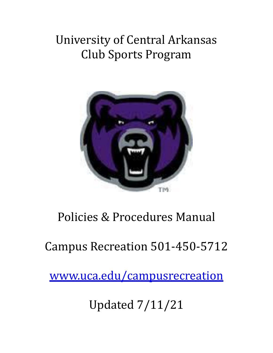# University of Central Arkansas Club Sports Program



# Policies & Procedures Manual

Campus Recreation 501-450-5712

[www.uca.edu/campusrecreation](http://www.uca.edu/campusrecreation)

Updated 7/11/21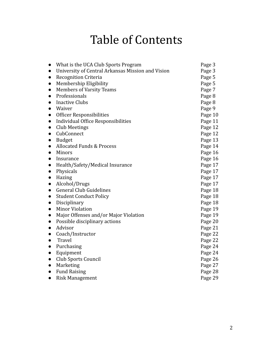# Table of Contents

| What is the UCA Club Sports Program                | Page 3  |
|----------------------------------------------------|---------|
| University of Central Arkansas Mission and Vision  | Page 3  |
| <b>Recognition Criteria</b><br>$\bullet$           | Page 5  |
| Membership Eligibility<br>$\bullet$                | Page 5  |
| <b>Members of Varsity Teams</b><br>$\bullet$       | Page 7  |
| Professionals<br>$\bullet$                         | Page 8  |
| <b>Inactive Clubs</b><br>$\bullet$                 | Page 8  |
| Waiver                                             | Page 9  |
| Officer Responsibilities<br>$\bullet$              | Page 10 |
| Individual Office Responsibilities<br>$\bullet$    | Page 11 |
| Club Meetings<br>$\bullet$                         | Page 12 |
| CubConnect<br>$\bullet$                            | Page 12 |
| <b>Budget</b><br>$\bullet$                         | Page 13 |
| <b>Allocated Funds &amp; Process</b><br>$\bullet$  | Page 14 |
| <b>Minors</b>                                      | Page 16 |
| Insurance                                          | Page 16 |
| Health/Safety/Medical Insurance<br>$\bullet$       | Page 17 |
| Physicals<br>$\bullet$                             | Page 17 |
| Hazing<br>$\bullet$                                | Page 17 |
| Alcohol/Drugs<br>$\bullet$                         | Page 17 |
| <b>General Club Guidelines</b><br>$\bullet$        | Page 18 |
| <b>Student Conduct Policy</b><br>$\bullet$         | Page 18 |
| Disciplinary<br>$\bullet$                          | Page 18 |
| <b>Minor Violation</b><br>$\bullet$                | Page 19 |
| Major Offenses and/or Major Violation<br>$\bullet$ | Page 19 |
| Possible disciplinary actions<br>$\bullet$         | Page 20 |
| Advisor<br>$\bullet$                               | Page 21 |
| Coach/Instructor<br>$\bullet$                      | Page 22 |
| Travel                                             | Page 22 |
| Purchasing<br>$\bullet$                            | Page 24 |
| Equipment<br>$\bullet$                             | Page 24 |
| Club Sports Council<br>$\bullet$                   | Page 26 |
| Marketing<br>$\bullet$                             | Page 27 |
| <b>Fund Raising</b><br>$\bullet$                   | Page 28 |
| <b>Risk Management</b><br>$\bullet$                | Page 29 |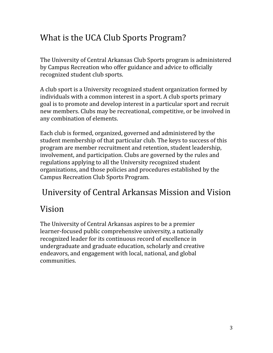# What is the UCA Club Sports Program?

The University of Central Arkansas Club Sports program is administered by Campus Recreation who offer guidance and advice to officially recognized student club sports.

A club sport is a University recognized student organization formed by individuals with a common interest in a sport. A club sports primary goal is to promote and develop interest in a particular sport and recruit new members. Clubs may be recreational, competitive, or be involved in any combination of elements.

Each club is formed, organized, governed and administered by the student membership of that particular club. The keys to success of this program are member recruitment and retention, student leadership, involvement, and participation. Clubs are governed by the rules and regulations applying to all the University recognized student organizations, and those policies and procedures established by the Campus Recreation Club Sports Program.

## University of Central Arkansas Mission and Vision

# Vision

The University of Central Arkansas aspires to be a premier learner-focused public comprehensive university, a nationally recognized leader for its continuous record of excellence in undergraduate and graduate education, scholarly and creative endeavors, and engagement with local, national, and global communities.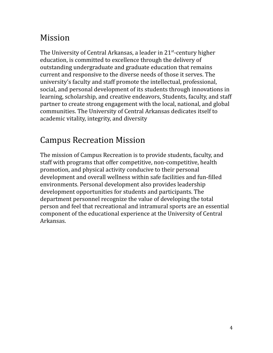### Mission

The University of Central Arkansas, a leader in 21<sup>st</sup>-century higher education, is committed to excellence through the delivery of outstanding undergraduate and graduate education that remains current and responsive to the diverse needs of those it serves. The university's faculty and staff promote the intellectual, professional, social, and personal development of its students through innovations in learning, scholarship, and creative endeavors, Students, faculty, and staff partner to create strong engagement with the local, national, and global communities. The University of Central Arkansas dedicates itself to academic vitality, integrity, and diversity

# Campus Recreation Mission

The mission of Campus Recreation is to provide students, faculty, and staff with programs that offer competitive, non-competitive, health promotion, and physical activity conducive to their personal development and overall wellness within safe facilities and fun-filled environments. Personal development also provides leadership development opportunities for students and participants. The department personnel recognize the value of developing the total person and feel that recreational and intramural sports are an essential component of the educational experience at the University of Central Arkansas.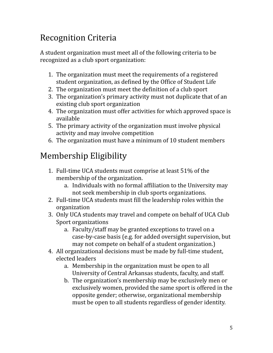# Recognition Criteria

A student organization must meet all of the following criteria to be recognized as a club sport organization:

- 1. The organization must meet the requirements of a registered student organization, as defined by the Office of Student Life
- 2. The organization must meet the definition of a club sport
- 3. The organization's primary activity must not duplicate that of an existing club sport organization
- 4. The organization must offer activities for which approved space is available
- 5. The primary activity of the organization must involve physical activity and may involve competition
- 6. The organization must have a minimum of 10 student members

# Membership Eligibility

- 1. Full-time UCA students must comprise at least 51% of the membership of the organization.
	- a. Individuals with no formal affiliation to the University may not seek membership in club sports organizations.
- 2. Full-time UCA students must fill the leadership roles within the organization
- 3. Only UCA students may travel and compete on behalf of UCA Club Sport organizations
	- a. Faculty/staff may be granted exceptions to travel on a case-by-case basis (e.g. for added oversight supervision, but may not compete on behalf of a student organization.)
- 4. All organizational decisions must be made by full-time student, elected leaders
	- a. Membership in the organization must be open to all University of Central Arkansas students, faculty, and staff.
	- b. The organization's membership may be exclusively men or exclusively women, provided the same sport is offered in the opposite gender; otherwise, organizational membership must be open to all students regardless of gender identity.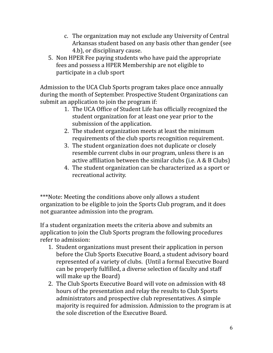- c. The organization may not exclude any University of Central Arkansas student based on any basis other than gender (see 4.b), or disciplinary cause.
- 5. Non HPER Fee paying students who have paid the appropriate fees and possess a HPER Membership are not eligible to participate in a club sport

Admission to the UCA Club Sports program takes place once annually during the month of September. Prospective Student Organizations can submit an application to join the program if:

- 1. The UCA Office of Student Life has officially recognized the student organization for at least one year prior to the submission of the application.
- 2. The student organization meets at least the minimum requirements of the club sports recognition requirement.
- 3. The student organization does not duplicate or closely resemble current clubs in our program, unless there is an active affiliation between the similar clubs (i.e. A & B Clubs)
- 4. The student organization can be characterized as a sport or recreational activity.

\*\*\*Note: Meeting the conditions above only allows a student organization to be eligible to join the Sports Club program, and it does not guarantee admission into the program.

If a student organization meets the criteria above and submits an application to join the Club Sports program the following procedures refer to admission:

- 1. Student organizations must present their application in person before the Club Sports Executive Board, a student advisory board represented of a variety of clubs. (Until a formal Executive Board can be properly fulfilled, a diverse selection of faculty and staff will make up the Board)
- 2. The Club Sports Executive Board will vote on admission with 48 hours of the presentation and relay the results to Club Sports administrators and prospective club representatives. A simple majority is required for admission. Admission to the program is at the sole discretion of the Executive Board.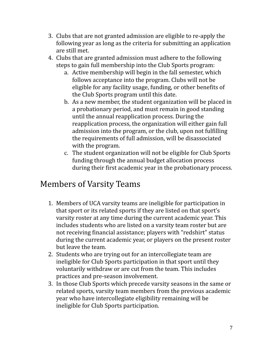- 3. Clubs that are not granted admission are eligible to re-apply the following year as long as the criteria for submitting an application are still met.
- 4. Clubs that are granted admission must adhere to the following steps to gain full membership into the Club Sports program:
	- a. Active membership will begin in the fall semester, which follows acceptance into the program. Clubs will not be eligible for any facility usage, funding, or other benefits of the Club Sports program until this date.
	- b. As a new member, the student organization will be placed in a probationary period, and must remain in good standing until the annual reapplication process. During the reapplication process, the organization will either gain full admission into the program, or the club, upon not fulfilling the requirements of full admission, will be disassociated with the program.
	- c. The student organization will not be eligible for Club Sports funding through the annual budget allocation process during their first academic year in the probationary process.

#### Members of Varsity Teams

- 1. Members of UCA varsity teams are ineligible for participation in that sport or its related sports if they are listed on that sport's varsity roster at any time during the current academic year. This includes students who are listed on a varsity team roster but are not receiving financial assistance; players with "redshirt" status during the current academic year, or players on the present roster but leave the team.
- 2. Students who are trying out for an intercollegiate team are ineligible for Club Sports participation in that sport until they voluntarily withdraw or are cut from the team. This includes practices and pre-season involvement.
- 3. In those Club Sports which precede varsity seasons in the same or related sports, varsity team members from the previous academic year who have intercollegiate eligibility remaining will be ineligible for Club Sports participation.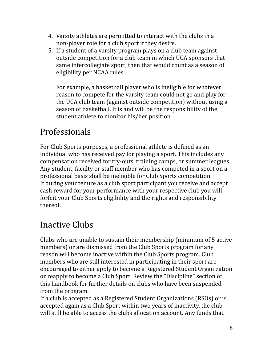- 4. Varsity athletes are permitted to interact with the clubs in a non-player role for a club sport if they desire.
- 5. If a student of a varsity program plays on a club team against outside competition for a club team in which UCA sponsors that same intercollegiate sport, then that would count as a season of eligibility per NCAA rules.

For example, a basketball player who is ineligible for whatever reason to compete for the varsity team could not go and play for the UCA club team (against outside competition) without using a season of basketball. It is and will be the responsibility of the student athlete to monitor his/her position.

# Professionals

For Club Sports purposes, a professional athlete is defined as an individual who has received pay for playing a sport. This includes any compensation received for try-outs, training camps, or summer leagues. Any student, faculty or staff member who has competed in a sport on a professional basis shall be ineligible for Club Sports competition. If during your tenure as a club sport participant you receive and accept cash reward for your performance with your respective club you will forfeit your Club Sports eligibility and the rights and responsibility thereof.

# Inactive Clubs

Clubs who are unable to sustain their membership (minimum of 5 active members) or are dismissed from the Club Sports program for any reason will become inactive within the Club Sports program. Club members who are still interested in participating in their sport are encouraged to either apply to become a Registered Student Organization or reapply to become a Club Sport. Review the "Discipline" section of this handbook for further details on clubs who have been suspended from the program.

If a club is accepted as a Registered Student Organizations (RSOs) or is accepted again as a Club Sport within two years of inactivity, the club will still be able to access the clubs allocation account. Any funds that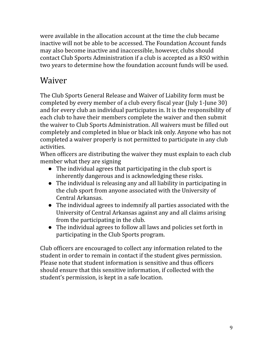were available in the allocation account at the time the club became inactive will not be able to be accessed. The Foundation Account funds may also become inactive and inaccessible, however, clubs should contact Club Sports Administration if a club is accepted as a RSO within two years to determine how the foundation account funds will be used.

### Waiver

The Club Sports General Release and Waiver of Liability form must be completed by every member of a club every fiscal year (July 1-June 30) and for every club an individual participates in. It is the responsibility of each club to have their members complete the waiver and then submit the waiver to Club Sports Administration. All waivers must be filled out completely and completed in blue or black ink only. Anyone who has not completed a waiver properly is not permitted to participate in any club activities.

When officers are distributing the waiver they must explain to each club member what they are signing

- The individual agrees that participating in the club sport is inherently dangerous and is acknowledging these risks.
- The individual is releasing any and all liability in participating in the club sport from anyone associated with the University of Central Arkansas.
- The individual agrees to indemnify all parties associated with the University of Central Arkansas against any and all claims arising from the participating in the club.
- The individual agrees to follow all laws and policies set forth in participating in the Club Sports program.

Club officers are encouraged to collect any information related to the student in order to remain in contact if the student gives permission. Please note that student information is sensitive and thus officers should ensure that this sensitive information, if collected with the student's permission, is kept in a safe location.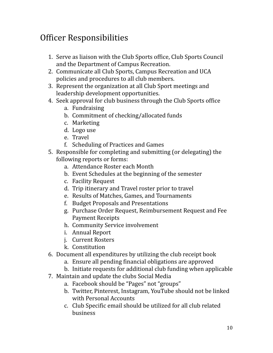## Officer Responsibilities

- 1. Serve as liaison with the Club Sports office, Club Sports Council and the Department of Campus Recreation.
- 2. Communicate all Club Sports, Campus Recreation and UCA policies and procedures to all club members.
- 3. Represent the organization at all Club Sport meetings and leadership development opportunities.
- 4. Seek approval for club business through the Club Sports office
	- a. Fundraising
	- b. Commitment of checking/allocated funds
	- c. Marketing
	- d. Logo use
	- e. Travel
	- f. Scheduling of Practices and Games
- 5. Responsible for completing and submitting (or delegating) the following reports or forms:
	- a. Attendance Roster each Month
	- b. Event Schedules at the beginning of the semester
	- c. Facility Request
	- d. Trip itinerary and Travel roster prior to travel
	- e. Results of Matches, Games, and Tournaments
	- f. Budget Proposals and Presentations
	- g. Purchase Order Request, Reimbursement Request and Fee Payment Receipts
	- h. Community Service involvement
	- i. Annual Report
	- j. Current Rosters
	- k. Constitution
- 6. Document all expenditures by utilizing the club receipt book
	- a. Ensure all pending financial obligations are approved
	- b. Initiate requests for additional club funding when applicable
- 7. Maintain and update the clubs Social Media
	- a. Facebook should be "Pages" not "groups"
	- b. Twitter, Pinterest, Instagram, YouTube should not be linked with Personal Accounts
	- c. Club Specific email should be utilized for all club related business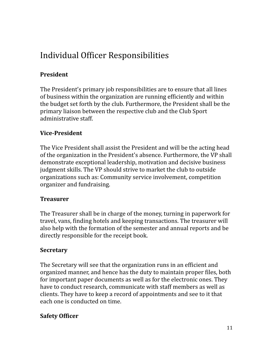# Individual Officer Responsibilities

#### **President**

The President's primary job responsibilities are to ensure that all lines of business within the organization are running efficiently and within the budget set forth by the club. Furthermore, the President shall be the primary liaison between the respective club and the Club Sport administrative staff.

#### **Vice-President**

The Vice President shall assist the President and will be the acting head of the organization in the President's absence. Furthermore, the VP shall demonstrate exceptional leadership, motivation and decisive business judgment skills. The VP should strive to market the club to outside organizations such as: Community service involvement, competition organizer and fundraising.

#### **Treasurer**

The Treasurer shall be in charge of the money, turning in paperwork for travel, vans, finding hotels and keeping transactions. The treasurer will also help with the formation of the semester and annual reports and be directly responsible for the receipt book.

#### **Secretary**

The Secretary will see that the organization runs in an efficient and organized manner, and hence has the duty to maintain proper files, both for important paper documents as well as for the electronic ones. They have to conduct research, communicate with staff members as well as clients. They have to keep a record of appointments and see to it that each one is conducted on time.

#### **Safety Officer**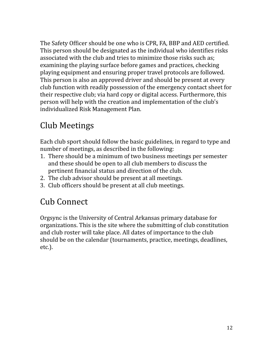The Safety Officer should be one who is CPR, FA, BBP and AED certified. This person should be designated as the individual who identifies risks associated with the club and tries to minimize those risks such as; examining the playing surface before games and practices, checking playing equipment and ensuring proper travel protocols are followed. This person is also an approved driver and should be present at every club function with readily possession of the emergency contact sheet for their respective club; via hard copy or digital access. Furthermore, this person will help with the creation and implementation of the club's individualized Risk Management Plan.

# Club Meetings

Each club sport should follow the basic guidelines, in regard to type and number of meetings, as described in the following:

- 1. There should be a minimum of two business meetings per semester and these should be open to all club members to discuss the pertinent financial status and direction of the club.
- 2. The club advisor should be present at all meetings.
- 3. Club officers should be present at all club meetings.

#### Cub Connect

Orgsync is the University of Central Arkansas primary database for organizations. This is the site where the submitting of club constitution and club roster will take place. All dates of importance to the club should be on the calendar (tournaments, practice, meetings, deadlines, etc.).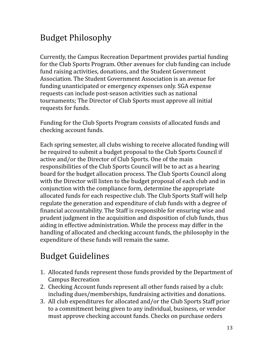## Budget Philosophy

Currently, the Campus Recreation Department provides partial funding for the Club Sports Program. Other avenues for club funding can include fund raising activities, donations, and the Student Government Association. The Student Government Association is an avenue for funding unanticipated or emergency expenses only. SGA expense requests can include post-season activities such as national tournaments; The Director of Club Sports must approve all initial requests for funds.

Funding for the Club Sports Program consists of allocated funds and checking account funds.

Each spring semester, all clubs wishing to receive allocated funding will be required to submit a budget proposal to the Club Sports Council if active and/or the Director of Club Sports. One of the main responsibilities of the Club Sports Council will be to act as a hearing board for the budget allocation process. The Club Sports Council along with the Director will listen to the budget proposal of each club and in conjunction with the compliance form, determine the appropriate allocated funds for each respective club. The Club Sports Staff will help regulate the generation and expenditure of club funds with a degree of financial accountability. The Staff is responsible for ensuring wise and prudent judgment in the acquisition and disposition of club funds, thus aiding in effective administration. While the process may differ in the handling of allocated and checking account funds, the philosophy in the expenditure of these funds will remain the same.

# Budget Guidelines

- 1. Allocated funds represent those funds provided by the Department of Campus Recreation
- 2. Checking Account funds represent all other funds raised by a club: including dues/memberships, fundraising activities and donations.
- 3. All club expenditures for allocated and/or the Club Sports Staff prior to a commitment being given to any individual, business, or vendor must approve checking account funds. Checks on purchase orders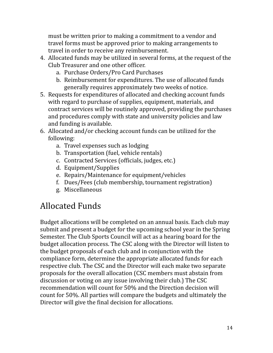must be written prior to making a commitment to a vendor and travel forms must be approved prior to making arrangements to travel in order to receive any reimbursement.

- 4. Allocated funds may be utilized in several forms, at the request of the Club Treasurer and one other officer.
	- a. Purchase Orders/Pro Card Purchases
	- b. Reimbursement for expenditures. The use of allocated funds generally requires approximately two weeks of notice.
- 5. Requests for expenditures of allocated and checking account funds with regard to purchase of supplies, equipment, materials, and contract services will be routinely approved, providing the purchases and procedures comply with state and university policies and law and funding is available.
- 6. Allocated and/or checking account funds can be utilized for the following:
	- a. Travel expenses such as lodging
	- b. Transportation (fuel, vehicle rentals)
	- c. Contracted Services (officials, judges, etc.)
	- d. Equipment/Supplies
	- e. Repairs/Maintenance for equipment/vehicles
	- f. Dues/Fees (club membership, tournament registration)
	- g. Miscellaneous

# Allocated Funds

Budget allocations will be completed on an annual basis. Each club may submit and present a budget for the upcoming school year in the Spring Semester. The Club Sports Council will act as a hearing board for the budget allocation process. The CSC along with the Director will listen to the budget proposals of each club and in conjunction with the compliance form, determine the appropriate allocated funds for each respective club. The CSC and the Director will each make two separate proposals for the overall allocation (CSC members must abstain from discussion or voting on any issue involving their club.) The CSC recommendation will count for 50% and the Direction decision will count for 50%. All parties will compare the budgets and ultimately the Director will give the final decision for allocations.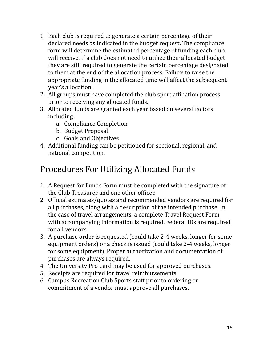- 1. Each club is required to generate a certain percentage of their declared needs as indicated in the budget request. The compliance form will determine the estimated percentage of funding each club will receive. If a club does not need to utilize their allocated budget they are still required to generate the certain percentage designated to them at the end of the allocation process. Failure to raise the appropriate funding in the allocated time will affect the subsequent year's allocation.
- 2. All groups must have completed the club sport affiliation process prior to receiving any allocated funds.
- 3. Allocated funds are granted each year based on several factors including:
	- a. Compliance Completion
	- b. Budget Proposal
	- c. Goals and Objectives
- 4. Additional funding can be petitioned for sectional, regional, and national competition.

# Procedures For Utilizing Allocated Funds

- 1. A Request for Funds Form must be completed with the signature of the Club Treasurer and one other officer.
- 2. Official estimates/quotes and recommended vendors are required for all purchases, along with a description of the intended purchase. In the case of travel arrangements, a complete Travel Request Form with accompanying information is required. Federal IDs are required for all vendors.
- 3. A purchase order is requested (could take 2-4 weeks, longer for some equipment orders) or a check is issued (could take 2-4 weeks, longer for some equipment). Proper authorization and documentation of purchases are always required.
- 4. The University Pro Card may be used for approved purchases.
- 5. Receipts are required for travel reimbursements
- 6. Campus Recreation Club Sports staff prior to ordering or commitment of a vendor must approve all purchases.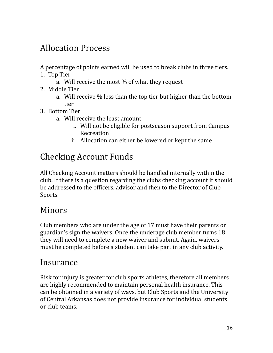# Allocation Process

A percentage of points earned will be used to break clubs in three tiers.

- 1. Top Tier
	- a. Will receive the most % of what they request
- 2. Middle Tier
	- a. Will receive % less than the top tier but higher than the bottom tier
- 3. Bottom Tier
	- a. Will receive the least amount
		- i. Will not be eligible for postseason support from Campus Recreation
		- ii. Allocation can either be lowered or kept the same

# Checking Account Funds

All Checking Account matters should be handled internally within the club. If there is a question regarding the clubs checking account it should be addressed to the officers, advisor and then to the Director of Club Sports.

#### Minors

Club members who are under the age of 17 must have their parents or guardian's sign the waivers. Once the underage club member turns 18 they will need to complete a new waiver and submit. Again, waivers must be completed before a student can take part in any club activity.

#### Insurance

Risk for injury is greater for club sports athletes, therefore all members are highly recommended to maintain personal health insurance. This can be obtained in a variety of ways, but Club Sports and the University of Central Arkansas does not provide insurance for individual students or club teams.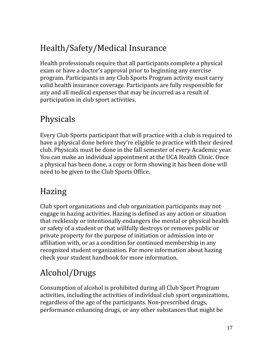# Health/Safety/Medical Insurance

Health professionals require that all participants complete a physical exam or have a doctor's approval prior to beginning any exercise program. Participants in any Club Sports Program activity must carry valid health insurance coverage. Participants are fully responsible for any and all medical expenses that may be incurred as a result of participation in club sport activities.

### Physicals

Every Club Sports participant that will practice with a club is required to have a physical done before they're eligible to practice with their desired club. Physicals must be done in the fall semester of every Academic year. You can make an individual appointment at the UCA Health Clinic. Once a physical has been done, a copy or form showing it has been done will need to be given to the Club Sports Office.

## Hazing

Club sport organizations and club organization participants may not engage in hazing activities. Hazing is defined as any action or situation that recklessly or intentionally endangers the mental or physical health or safety of a student or that willfully destroys or removes public or private property for the purpose of initiation or admission into or affiliation with, or as a condition for continued membership in any recognized student organization. For more information about hazing check your student handbook for more information.

# Alcohol/Drugs

Consumption of alcohol is prohibited during all Club Sport Program activities, including the activities of individual club sport organizations, regardless of the age of the participants. Non-prescribed drugs, performance enhancing drugs, or any other substances that might be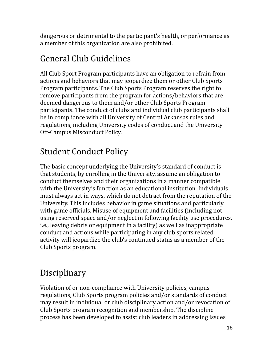dangerous or detrimental to the participant's health, or performance as a member of this organization are also prohibited.

# General Club Guidelines

All Club Sport Program participants have an obligation to refrain from actions and behaviors that may jeopardize them or other Club Sports Program participants. The Club Sports Program reserves the right to remove participants from the program for actions/behaviors that are deemed dangerous to them and/or other Club Sports Program participants. The conduct of clubs and individual club participants shall be in compliance with all University of Central Arkansas rules and regulations, including University codes of conduct and the University Off-Campus Misconduct Policy.

# Student Conduct Policy

The basic concept underlying the University's standard of conduct is that students, by enrolling in the University, assume an obligation to conduct themselves and their organizations in a manner compatible with the University's function as an educational institution. Individuals must always act in ways, which do not detract from the reputation of the University. This includes behavior in game situations and particularly with game officials. Misuse of equipment and facilities (including not using reserved space and/or neglect in following facility use procedures, i.e., leaving debris or equipment in a facility) as well as inappropriate conduct and actions while participating in any club sports related activity will jeopardize the club's continued status as a member of the Club Sports program.

# Disciplinary

Violation of or non-compliance with University policies, campus regulations, Club Sports program policies and/or standards of conduct may result in individual or club disciplinary action and/or revocation of Club Sports program recognition and membership. The discipline process has been developed to assist club leaders in addressing issues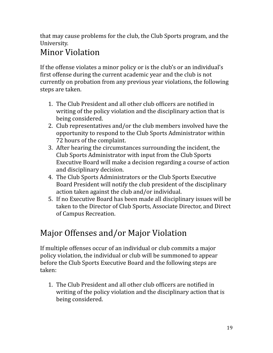that may cause problems for the club, the Club Sports program, and the University.

### Minor Violation

If the offense violates a minor policy or is the club's or an individual's first offense during the current academic year and the club is not currently on probation from any previous year violations, the following steps are taken.

- 1. The Club President and all other club officers are notified in writing of the policy violation and the disciplinary action that is being considered.
- 2. Club representatives and/or the club members involved have the opportunity to respond to the Club Sports Administrator within 72 hours of the complaint.
- 3. After hearing the circumstances surrounding the incident, the Club Sports Administrator with input from the Club Sports Executive Board will make a decision regarding a course of action and disciplinary decision.
- 4. The Club Sports Administrators or the Club Sports Executive Board President will notify the club president of the disciplinary action taken against the club and/or individual.
- 5. If no Executive Board has been made all disciplinary issues will be taken to the Director of Club Sports, Associate Director, and Direct of Campus Recreation.

# Major Offenses and/or Major Violation

If multiple offenses occur of an individual or club commits a major policy violation, the individual or club will be summoned to appear before the Club Sports Executive Board and the following steps are taken:

1. The Club President and all other club officers are notified in writing of the policy violation and the disciplinary action that is being considered.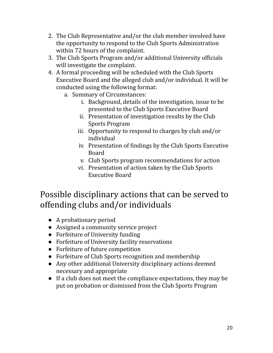- 2. The Club Representative and/or the club member involved have the opportunity to respond to the Club Sports Administration within 72 hours of the complaint.
- 3. The Club Sports Program and/or additional University officials will investigate the complaint.
- 4. A formal proceeding will be scheduled with the Club Sports Executive Board and the alleged club and/or individual. It will be conducted using the following format:
	- a. Summary of Circumstances:
		- i. Background, details of the investigation, issue to be presented to the Club Sports Executive Board
		- ii. Presentation of investigation results by the Club Sports Program
		- iii. Opportunity to respond to charges by club and/or individual
		- iv. Presentation of findings by the Club Sports Executive Board
		- v. Club Sports program recommendations for action
		- vi. Presentation of action taken by the Club Sports Executive Board

#### Possible disciplinary actions that can be served to offending clubs and/or individuals

- A probationary period
- Assigned a community service project
- Forfeiture of University funding
- Forfeiture of University facility reservations
- Forfeiture of future competition
- Forfeiture of Club Sports recognition and membership
- Any other additional University disciplinary actions deemed necessary and appropriate
- If a club does not meet the compliance expectations, they may be put on probation or dismissed from the Club Sports Program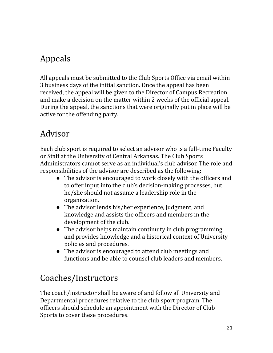# Appeals

All appeals must be submitted to the Club Sports Office via email within 3 business days of the initial sanction. Once the appeal has been received, the appeal will be given to the Director of Campus Recreation and make a decision on the matter within 2 weeks of the official appeal. During the appeal, the sanctions that were originally put in place will be active for the offending party.

#### Advisor

Each club sport is required to select an advisor who is a full-time Faculty or Staff at the University of Central Arkansas. The Club Sports Administrators cannot serve as an individual's club advisor. The role and responsibilities of the advisor are described as the following:

- The advisor is encouraged to work closely with the officers and to offer input into the club's decision-making processes, but he/she should not assume a leadership role in the organization.
- The advisor lends his/her experience, judgment, and knowledge and assists the officers and members in the development of the club.
- The advisor helps maintain continuity in club programming and provides knowledge and a historical context of University policies and procedures.
- The advisor is encouraged to attend club meetings and functions and be able to counsel club leaders and members.

# Coaches/Instructors

The coach/instructor shall be aware of and follow all University and Departmental procedures relative to the club sport program. The officers should schedule an appointment with the Director of Club Sports to cover these procedures.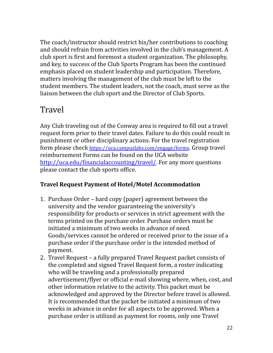The coach/instructor should restrict his/her contributions to coaching and should refrain from activities involved in the club's management. A club sport is first and foremost a student organization. The philosophy, and key, to success of the Club Sports Program has been the continued emphasis placed on student leadership and participation. Therefore, matters involving the management of the club must be left to the student members. The student leaders, not the coach, must serve as the liaison between the club sport and the Director of Club Sports.

#### Travel

Any Club traveling out of the Conway area is required to fill out a travel request form prior to their travel dates. Failure to do this could result in punishment or other disciplinary actions. For the travel registration form please check <https://uca.campuslabs.com/engage/forms>. Group travel reimbursement Forms can be found on the UCA website [http://uca.edu/financialaccounting/travel/.](http://uca.edu/financialaccounting/travel/) For any more questions please contact the club sports office.

#### **Travel Request Payment of Hotel/Motel Accommodation**

- 1. Purchase Order hard copy (paper) agreement between the university and the vendor guaranteeing the university's responsibility for products or services in strict agreement with the terms printed on the purchase order. Purchase orders must be initiated a minimum of two weeks in advance of need. Goods/services cannot be ordered or received prior to the issue of a purchase order if the purchase order is the intended method of payment.
- 2. Travel Request a fully prepared Travel Request packet consists of the completed and signed Travel Request form, a roster indicating who will be traveling and a professionally prepared advertisement/flyer or official e-mail showing where, when, cost, and other information relative to the activity. This packet must be acknowledged and approved by the Director before travel is allowed. It is recommended that the packet be initiated a minimum of two weeks in advance in order for all aspects to be approved. When a purchase order is utilized as payment for rooms, only one Travel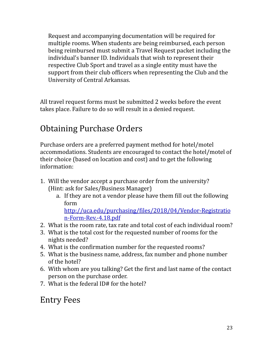Request and accompanying documentation will be required for multiple rooms. When students are being reimbursed, each person being reimbursed must submit a Travel Request packet including the individual's banner ID. Individuals that wish to represent their respective Club Sport and travel as a single entity must have the support from their club officers when representing the Club and the University of Central Arkansas.

All travel request forms must be submitted 2 weeks before the event takes place. Failure to do so will result in a denied request.

# Obtaining Purchase Orders

Purchase orders are a preferred payment method for hotel/motel accommodations. Students are encouraged to contact the hotel/motel of their choice (based on location and cost) and to get the following information:

- 1. Will the vendor accept a purchase order from the university? (Hint: ask for Sales/Business Manager)
	- a. If they are not a vendor please have them fill out the following form

[http://uca.edu/purchasing/files/2018/04/Vendor-Registratio](http://uca.edu/purchasing/files/2018/04/Vendor-Registration-Form-Rev.-4.18.pdf) [n-Form-Rev.-4.18.pdf](http://uca.edu/purchasing/files/2018/04/Vendor-Registration-Form-Rev.-4.18.pdf)

- 2. What is the room rate, tax rate and total cost of each individual room?
- 3. What is the total cost for the requested number of rooms for the nights needed?
- 4. What is the confirmation number for the requested rooms?
- 5. What is the business name, address, fax number and phone number of the hotel?
- 6. With whom are you talking? Get the first and last name of the contact person on the purchase order.
- 7. What is the federal ID# for the hotel?

#### Entry Fees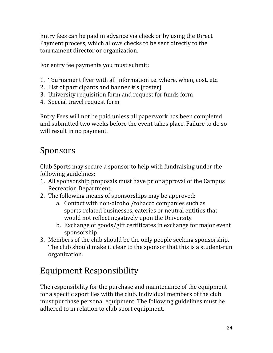Entry fees can be paid in advance via check or by using the Direct Payment process, which allows checks to be sent directly to the tournament director or organization.

For entry fee payments you must submit:

- 1. Tournament flyer with all information i.e. where, when, cost, etc.
- 2. List of participants and banner #'s (roster)
- 3. University requisition form and request for funds form
- 4. Special travel request form

Entry Fees will not be paid unless all paperwork has been completed and submitted two weeks before the event takes place. Failure to do so will result in no payment.

### Sponsors

Club Sports may secure a sponsor to help with fundraising under the following guidelines:

- 1. All sponsorship proposals must have prior approval of the Campus Recreation Department.
- 2. The following means of sponsorships may be approved:
	- a. Contact with non-alcohol/tobacco companies such as sports-related businesses, eateries or neutral entities that would not reflect negatively upon the University.
	- b. Exchange of goods/gift certificates in exchange for major event sponsorship.
- 3. Members of the club should be the only people seeking sponsorship. The club should make it clear to the sponsor that this is a student-run organization.

## Equipment Responsibility

The responsibility for the purchase and maintenance of the equipment for a specific sport lies with the club. Individual members of the club must purchase personal equipment. The following guidelines must be adhered to in relation to club sport equipment.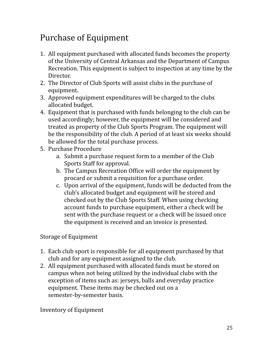# Purchase of Equipment

- 1. All equipment purchased with allocated funds becomes the property of the University of Central Arkansas and the Department of Campus Recreation. This equipment is subject to inspection at any time by the Director.
- 2. The Director of Club Sports will assist clubs in the purchase of equipment.
- 3. Approved equipment expenditures will be charged to the clubs allocated budget.
- 4. Equipment that is purchased with funds belonging to the club can be used accordingly; however, the equipment will be considered and treated as property of the Club Sports Program. The equipment will be the responsibility of the club. A period of at least six weeks should be allowed for the total purchase process.
- 5. Purchase Procedure
	- a. Submit a purchase request form to a member of the Club Sports Staff for approval.
	- b. The Campus Recreation Office will order the equipment by procard or submit a requisition for a purchase order.
	- c. Upon arrival of the equipment, funds will be deducted from the club's allocated budget and equipment will be stored and checked out by the Club Sports Staff. When using checking account funds to purchase equipment, either a check will be sent with the purchase request or a check will be issued once the equipment is received and an invoice is presented.

#### Storage of Equipment

- 1. Each club sport is responsible for all equipment purchased by that club and for any equipment assigned to the club.
- 2. All equipment purchased with allocated funds must be stored on campus when not being utilized by the individual clubs with the exception of items such as: jerseys, balls and everyday practice equipment. These items may be checked out on a semester-by-semester basis.

Inventory of Equipment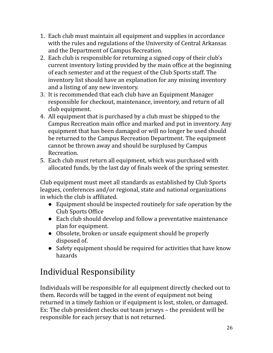- 1. Each club must maintain all equipment and supplies in accordance with the rules and regulations of the University of Central Arkansas and the Department of Campus Recreation.
- 2. Each club is responsible for returning a signed copy of their club's current inventory listing provided by the main office at the beginning of each semester and at the request of the Club Sports staff. The inventory list should have an explanation for any missing inventory and a listing of any new inventory.
- 3. It is recommended that each club have an Equipment Manager responsible for checkout, maintenance, inventory, and return of all club equipment.
- 4. All equipment that is purchased by a club must be shipped to the Campus Recreation main office and marked and put in inventory. Any equipment that has been damaged or will no longer be used should be returned to the Campus Recreation Department. The equipment cannot be thrown away and should be surplused by Campus Recreation.
- 5. Each club must return all equipment, which was purchased with allocated funds, by the last day of finals week of the spring semester.

Club equipment must meet all standards as established by Club Sports leagues, conferences and/or regional, state and national organizations in which the club is affiliated.

- Equipment should be inspected routinely for safe operation by the Club Sports Office
- Each club should develop and follow a preventative maintenance plan for equipment.
- Obsolete, broken or unsafe equipment should be properly disposed of.
- Safety equipment should be required for activities that have know hazards

# Individual Responsibility

Individuals will be responsible for all equipment directly checked out to them. Records will be tagged in the event of equipment not being returned in a timely fashion or if equipment is lost, stolen, or damaged. Ex: The club president checks out team jerseys – the president will be responsible for each jersey that is not returned.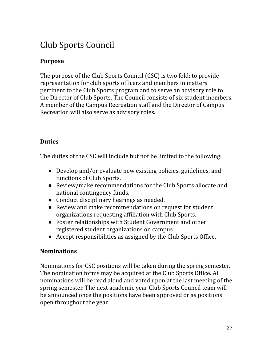# Club Sports Council

#### **Purpose**

The purpose of the Club Sports Council (CSC) is two fold: to provide representation for club sports officers and members in matters pertinent to the Club Sports program and to serve an advisory role to the Director of Club Sports. The Council consists of six student members. A member of the Campus Recreation staff and the Director of Campus Recreation will also serve as advisory roles.

#### **Duties**

The duties of the CSC will include but not be limited to the following:

- Develop and/or evaluate new existing policies, guidelines, and functions of Club Sports.
- Review/make recommendations for the Club Sports allocate and national contingency funds.
- Conduct disciplinary hearings as needed.
- Review and make recommendations on request for student organizations requesting affiliation with Club Sports.
- Foster relationships with Student Government and other registered student organizations on campus.
- Accept responsibilities as assigned by the Club Sports Office.

#### **Nominations**

Nominations for CSC positions will be taken during the spring semester. The nomination forms may be acquired at the Club Sports Office. All nominations will be read aloud and voted upon at the last meeting of the spring semester. The next academic year Club Sports Council team will be announced once the positions have been approved or as positions open throughout the year.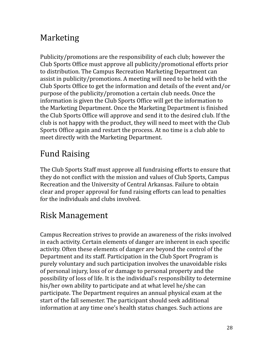## Marketing

Publicity/promotions are the responsibility of each club; however the Club Sports Office must approve all publicity/promotional efforts prior to distribution. The Campus Recreation Marketing Department can assist in publicity/promotions. A meeting will need to be held with the Club Sports Office to get the information and details of the event and/or purpose of the publicity/promotion a certain club needs. Once the information is given the Club Sports Office will get the information to the Marketing Department. Once the Marketing Department is finished the Club Sports Office will approve and send it to the desired club. If the club is not happy with the product, they will need to meet with the Club Sports Office again and restart the process. At no time is a club able to meet directly with the Marketing Department.

# Fund Raising

The Club Sports Staff must approve all fundraising efforts to ensure that they do not conflict with the mission and values of Club Sports, Campus Recreation and the University of Central Arkansas. Failure to obtain clear and proper approval for fund raising efforts can lead to penalties for the individuals and clubs involved.

# Risk Management

Campus Recreation strives to provide an awareness of the risks involved in each activity. Certain elements of danger are inherent in each specific activity. Often these elements of danger are beyond the control of the Department and its staff. Participation in the Club Sport Program is purely voluntary and such participation involves the unavoidable risks of personal injury, loss of or damage to personal property and the possibility of loss of life. It is the individual's responsibility to determine his/her own ability to participate and at what level he/she can participate. The Department requires an annual physical exam at the start of the fall semester. The participant should seek additional information at any time one's health status changes. Such actions are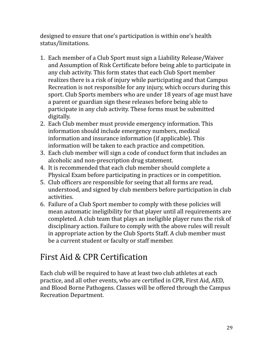designed to ensure that one's participation is within one's health status/limitations.

- 1. Each member of a Club Sport must sign a Liability Release/Waiver and Assumption of Risk Certificate before being able to participate in any club activity. This form states that each Club Sport member realizes there is a risk of injury while participating and that Campus Recreation is not responsible for any injury, which occurs during this sport. Club Sports members who are under 18 years of age must have a parent or guardian sign these releases before being able to participate in any club activity. These forms must be submitted digitally.
- 2. Each Club member must provide emergency information. This information should include emergency numbers, medical information and insurance information (if applicable). This information will be taken to each practice and competition.
- 3. Each club member will sign a code of conduct form that includes an alcoholic and non-prescription drug statement.
- 4. It is recommended that each club member should complete a Physical Exam before participating in practices or in competition.
- 5. Club officers are responsible for seeing that all forms are read, understood, and signed by club members before participation in club activities.
- 6. Failure of a Club Sport member to comply with these policies will mean automatic ineligibility for that player until all requirements are completed. A club team that plays an ineligible player runs the risk of disciplinary action. Failure to comply with the above rules will result in appropriate action by the Club Sports Staff. A club member must be a current student or faculty or staff member.

## First Aid & CPR Certification

Each club will be required to have at least two club athletes at each practice, and all other events, who are certified in CPR, First Aid, AED, and Blood Borne Pathogens. Classes will be offered through the Campus Recreation Department.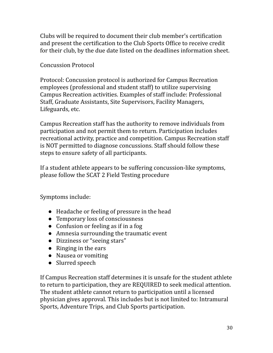Clubs will be required to document their club member's certification and present the certification to the Club Sports Office to receive credit for their club, by the due date listed on the deadlines information sheet.

Concussion Protocol

Protocol: Concussion protocol is authorized for Campus Recreation employees (professional and student staff) to utilize supervising Campus Recreation activities. Examples of staff include: Professional Staff, Graduate Assistants, Site Supervisors, Facility Managers, Lifeguards, etc.

Campus Recreation staff has the authority to remove individuals from participation and not permit them to return. Participation includes recreational activity, practice and competition. Campus Recreation staff is NOT permitted to diagnose concussions. Staff should follow these steps to ensure safety of all participants.

If a student athlete appears to be suffering concussion-like symptoms, please follow the SCAT 2 Field Testing procedure

Symptoms include:

- Headache or feeling of pressure in the head
- Temporary loss of consciousness
- Confusion or feeling as if in a fog
- Amnesia surrounding the traumatic event
- Dizziness or "seeing stars"
- Ringing in the ears
- Nausea or vomiting
- Slurred speech

If Campus Recreation staff determines it is unsafe for the student athlete to return to participation, they are REQUIRED to seek medical attention. The student athlete cannot return to participation until a licensed physician gives approval. This includes but is not limited to: Intramural Sports, Adventure Trips, and Club Sports participation.